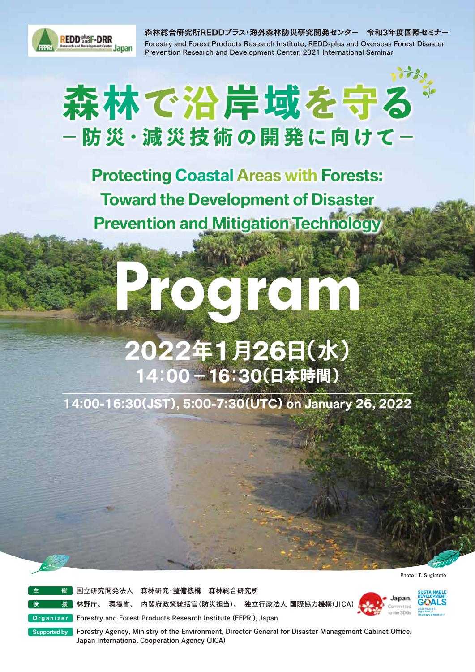

森林総合研究所REDDプラス・海外森林防災研究開発センター 令和3年度国際セミナー Forestry and Forest Products Research Institute, REDD-plus and Overseas Forest Disaster Prevention Research and Development Center, 2021 International Seminar

# 森林で沿岸域を守る -防災·減災技術の開発に向けて-

**Protecting Coastal Areas with Forests: Toward the Development of Disaster Prevention and Mitigation Technology**

## 2022年1月26日(水) 14:00-16:30(日本時間)

**Program**

14:00-16:30(JST), 5:00-7:30(UTC) on January 26, 2022

Photo : T. Sugimoto

国立研究開発法人 森林研究・整備機構 森林総合研究所

後 援 林野庁、 環境省、 内閣府政策統括官(防災担当)、 独立行政法人 国際協力機構(JICA)

**Forestry and Forest Products Research Institute (FFPRI), Japan** 

Japan. Committed to the SDGs



Forestry Agency, Ministry of the Environment, Director General for Disaster Management Cabinet Office, Japan International Cooperation Agency (JICA) **Supported by**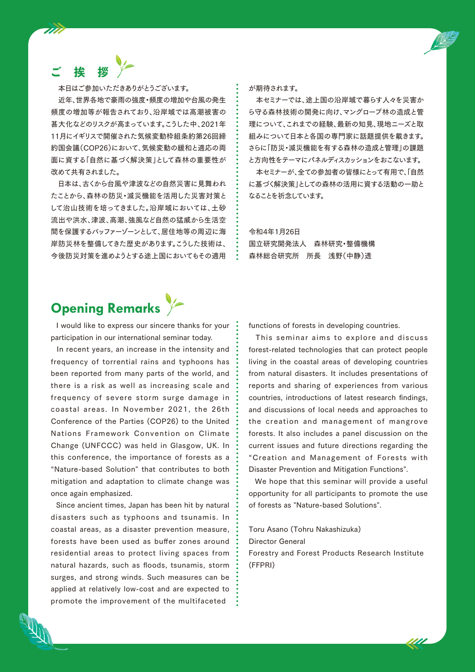### 挨

777

本日はご参加いただきありがとうございます。

近年、世界各地で豪雨の強度・頻度の増加や台風の発生 頻度の増加等が報告されており、沿岸域では高潮被害の 甚大化などのリスクが高まっています。こうした中、2021年 11月にイギリスで開催された気候変動枠組条約第26回締 約国会議(COP26)において、気候変動の緩和と適応の両 面に資する「自然に基づく解決策」として森林の重要性が 改めて共有されました。

 日本は、古くから台風や津波などの自然災害に見舞われ たことから、森林の防災・減災機能を活用した災害対策と して治山技術を培ってきました。沿岸域においては、土砂 流出や洪水、津波、高潮、強風など自然の猛威から生活空 間を保護するバッファーゾーンとして、居住地等の周辺に海 岸防災林を整備してきた歴史があります。こうした技術は、 今後防災対策を進めようとする途上国においてもその適用 が期待されます。

本セミナーでは、途上国の沿岸域で暮らす人々を災害か ら守る森林技術の開発に向け、マングローブ林の造成と管 理について、これまでの経験、最新の知見、現地ニーズと取 組みについて日本と各国の専門家に話題提供を戴きます。 さらに「防災・減災機能を有する森林の造成と管理」の課題 と方向性をテーマにパネルディスカッションをおこないます。

本セミナーが、全ての参加者の皆様にとって有用で「、自然 に基づく解決策」としての森林の活用に資する活動の一助と なることを祈念しています。

#### 令和4年1月26日 国立研究開発法人 森林研究・整備機構 森林総合研究所 所長 浅野(中静)透

### **Opening Remarks**

I would like to express our sincere thanks for your participation in our international seminar today.

In recent years, an increase in the intensity and frequency of torrential rains and typhoons has been reported from many parts of the world, and there is a risk as well as increasing scale and frequency of severe storm surge damage in coastal areas. In November 2021, the 26th Conference of the Parties (COP26) to the United Nations Framework Convention on Climate Change (UNFCCC) was held in Glasgow, UK. In this conference, the importance of forests as a "Nature-based Solution" that contributes to both mitigation and adaptation to climate change was once again emphasized.

Since ancient times, Japan has been hit by natural disasters such as typhoons and tsunamis. In coastal areas, as a disaster prevention measure, forests have been used as buffer zones around residential areas to protect living spaces from natural hazards, such as floods, tsunamis, storm surges, and strong winds. Such measures can be applied at relatively low-cost and are expected to promote the improvement of the multifaceted

functions of forests in developing countries.

This seminar aims to explore and discuss forest-related technologies that can protect people living in the coastal areas of developing countries from natural disasters. It includes presentations of reports and sharing of experiences from various countries, introductions of latest research findings, and discussions of local needs and approaches to the creation and management of mangrove forests. It also includes a panel discussion on the current issues and future directions regarding the "Creation and Management of Forests with Disaster Prevention and Mitigation Functions".

We hope that this seminar will provide a useful opportunity for all participants to promote the use of forests as "Nature-based Solutions".

Toru Asano (Tohru Nakashizuka) Director General Forestry and Forest Products Research Institute (FFPRI)

<u> 111</u>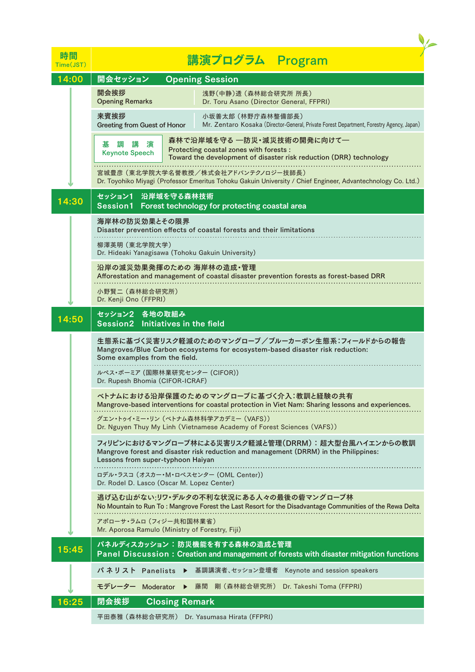| 時間<br>Time(JST) | 講演プログラム Program                                                                                                                                                                          |
|-----------------|------------------------------------------------------------------------------------------------------------------------------------------------------------------------------------------|
| 14:00           | 開会セッション<br><b>Opening Session</b>                                                                                                                                                        |
|                 | 開会挨拶<br>浅野(中静)透 (森林総合研究所 所長)<br><b>Opening Remarks</b><br>Dr. Toru Asano (Director General, FFPRI)                                                                                       |
|                 | 来賓挨拶<br>小坂善太郎 (林野庁森林整備部長)<br>Greeting from Guest of Honor<br>Mr. Zentaro Kosaka (Director-General, Private Forest Department, Forestry Agency, Japan)                                    |
|                 | 森林で沿岸域を守る ―防災・減災技術の開発に向けて―<br>棊<br>調<br>講<br>演<br>Protecting coastal zones with forests :<br><b>Keynote Speech</b><br>Toward the development of disaster risk reduction (DRR) technology |
|                 | 宮城豊彦(東北学院大学名誉教授/株式会社アドバンテクノロジー技師長)<br>Dr. Toyohiko Miyagi (Professor Emeritus Tohoku Gakuin University / Chief Engineer, Advantechnology Co. Ltd.)                                       |
| 14:30           | セッション1 沿岸域を守る森林技術<br>Session1 Forest technology for protecting coastal area                                                                                                              |
|                 | 海岸林の防災効果とその限界<br>Disaster prevention effects of coastal forests and their limitations                                                                                                    |
|                 | 柳澤英明(東北学院大学)<br>Dr. Hideaki Yanagisawa (Tohoku Gakuin University)                                                                                                                        |
|                 | 沿岸の減災効果発揮のための 海岸林の造成・管理<br>Afforestation and management of coastal disaster prevention forests as forest-based DRR                                                                       |
|                 | 小野賢二 (森林総合研究所)<br>Dr. Kenji Ono (FFPRI)                                                                                                                                                  |
|                 | セッション2 各地の取組み<br>Session2 Initiatives in the field                                                                                                                                       |
|                 | 生態系に基づく災害リスク軽減のためのマングローブ/ブルーカーボン生態系:フィールドからの報告<br>Mangroves/Blue Carbon ecosystems for ecosystem-based disaster risk reduction:<br>Some examples from the field.                         |
|                 | ルペス・ボーミア (国際林業研究センター (CIFOR))<br>Dr. Rupesh Bhomia (CIFOR-ICRAF)                                                                                                                         |
|                 | ベトナムにおける沿岸保護のためのマングローブに基づく介入:教訓と経験の共有<br>Mangrove-based interventions for coastal protection in Viet Nam: Sharing lessons and experiences.<br>グエン・トゥイ・ミー・リン (ベトナム森林科学アカデミー (VAFS))       |
|                 | Dr. Nguyen Thuy My Linh (Vietnamese Academy of Forest Sciences (VAFS))                                                                                                                   |
|                 | フィリピンにおけるマングローブ林による災害リスク軽減と管理(DRRM): 超大型台風ハイエンからの教訓<br>Mangrove forest and disaster risk reduction and management (DRRM) in the Philippines:<br>Lessons from super-typhoon Haiyan        |
|                 | ロデル・ラスコ (オスカー・M・ロペスセンター (OML Center))<br>Dr. Rodel D. Lasco (Oscar M. Lopez Center)                                                                                                      |
|                 | 逃げ込む山がない:リワ・デルタの不利な状況にある人々の最後の砦マングローブ林<br>No Mountain to Run To : Mangrove Forest the Last Resort for the Disadvantage Communities of the Rewa Delta                                     |
|                 | アポローサ・ラムロ (フィジー共和国林業省)<br>Mr. Aporosa Ramulo (Ministry of Forestry, Fiji)                                                                                                                |
| 15:45           | パネルディスカッション:防災機能を有する森林の造成と管理<br>Panel Discussion: Creation and management of forests with disaster mitigation functions                                                                  |
|                 | 基調講演者、セッション登壇者 Keynote and session speakers<br>パネリスト Panelists ▶                                                                                                                         |
|                 | 剛 (森林総合研究所) Dr. Takeshi Toma (FFPRI)<br>モデレーター<br>Moderator<br>藤間                                                                                                                        |
| 16:25           | 閉会挨拶<br><b>Closing Remark</b>                                                                                                                                                            |
|                 | 平田泰雅 (森林総合研究所) Dr. Yasumasa Hirata (FFPRI)                                                                                                                                               |